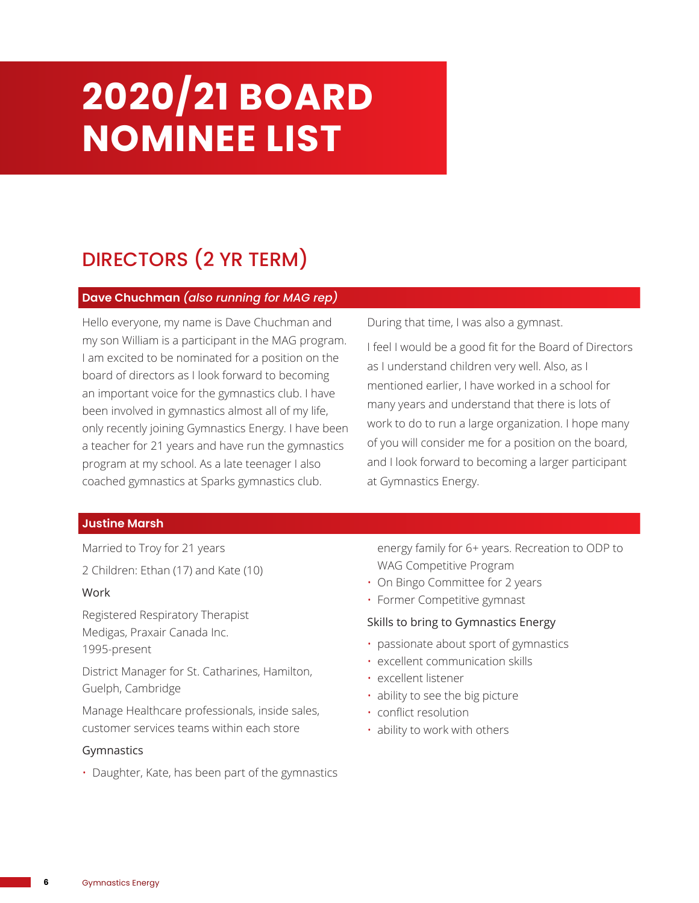# **2020/21 BOARD NOMINEE LIST**

# DIRECTORS (2 YR TERM)

#### **Dave Chuchman** *(also running for MAG rep)*

Hello everyone, my name is Dave Chuchman and my son William is a participant in the MAG program. I am excited to be nominated for a position on the board of directors as I look forward to becoming an important voice for the gymnastics club. I have been involved in gymnastics almost all of my life, only recently joining Gymnastics Energy. I have been a teacher for 21 years and have run the gymnastics program at my school. As a late teenager I also coached gymnastics at Sparks gymnastics club.

During that time, I was also a gymnast.

I feel I would be a good fit for the Board of Directors as I understand children very well. Also, as I mentioned earlier, I have worked in a school for many years and understand that there is lots of work to do to run a large organization. I hope many of you will consider me for a position on the board, and I look forward to becoming a larger participant at Gymnastics Energy.

### **Justine Marsh**

Married to Troy for 21 years 2 Children: Ethan (17) and Kate (10)

#### Work

Registered Respiratory Therapist Medigas, Praxair Canada Inc. 1995-present

District Manager for St. Catharines, Hamilton, Guelph, Cambridge

Manage Healthcare professionals, inside sales, customer services teams within each store

#### Gymnastics

• Daughter, Kate, has been part of the gymnastics

energy family for 6+ years. Recreation to ODP to WAG Competitive Program

- On Bingo Committee for 2 years
- Former Competitive gymnast

#### Skills to bring to Gymnastics Energy

- passionate about sport of gymnastics
- excellent communication skills
- excellent listener
- ability to see the big picture
- conflict resolution
- ability to work with others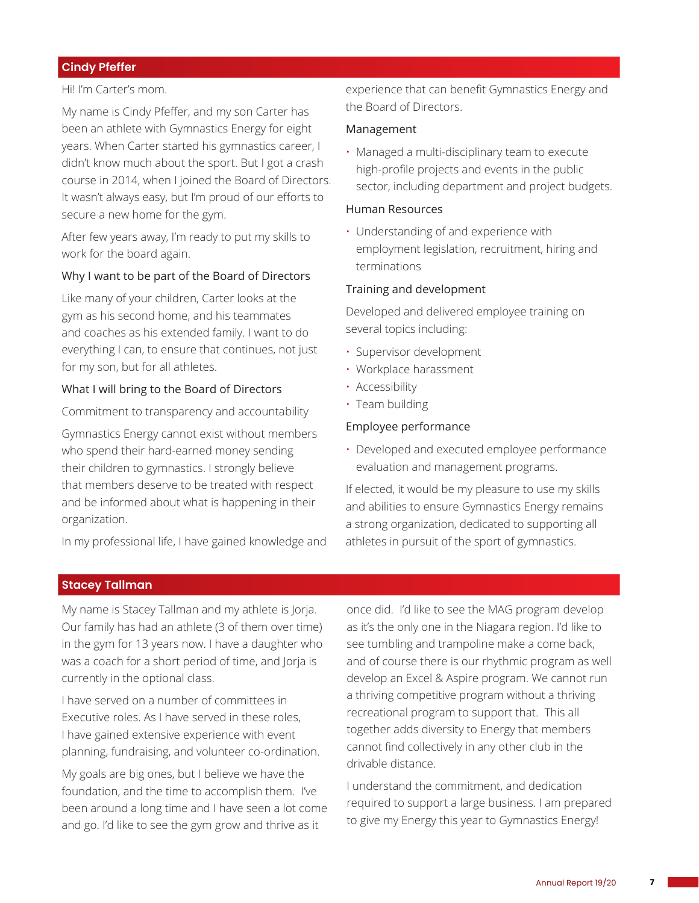### **Cindy Pfeffer**

#### Hi! I'm Carter's mom.

My name is Cindy Pfeffer, and my son Carter has been an athlete with Gymnastics Energy for eight years. When Carter started his gymnastics career, I didn't know much about the sport. But I got a crash course in 2014, when I joined the Board of Directors. It wasn't always easy, but I'm proud of our efforts to secure a new home for the gym.

After few years away, I'm ready to put my skills to work for the board again.

#### Why I want to be part of the Board of Directors

Like many of your children, Carter looks at the gym as his second home, and his teammates and coaches as his extended family. I want to do everything I can, to ensure that continues, not just for my son, but for all athletes.

#### What I will bring to the Board of Directors

Commitment to transparency and accountability

Gymnastics Energy cannot exist without members who spend their hard-earned money sending their children to gymnastics. I strongly believe that members deserve to be treated with respect and be informed about what is happening in their organization.

In my professional life, I have gained knowledge and

experience that can benefit Gymnastics Energy and the Board of Directors.

#### Management

• Managed a multi-disciplinary team to execute high-profile projects and events in the public sector, including department and project budgets.

#### Human Resources

• Understanding of and experience with employment legislation, recruitment, hiring and terminations

#### Training and development

Developed and delivered employee training on several topics including:

- Supervisor development
- Workplace harassment
- Accessibility
- Team building

#### Employee performance

• Developed and executed employee performance evaluation and management programs.

If elected, it would be my pleasure to use my skills and abilities to ensure Gymnastics Energy remains a strong organization, dedicated to supporting all athletes in pursuit of the sport of gymnastics.

#### **Stacey Tallman**

My name is Stacey Tallman and my athlete is Jorja. Our family has had an athlete (3 of them over time) in the gym for 13 years now. I have a daughter who was a coach for a short period of time, and Jorja is currently in the optional class.

I have served on a number of committees in Executive roles. As I have served in these roles, I have gained extensive experience with event planning, fundraising, and volunteer co-ordination.

My goals are big ones, but I believe we have the foundation, and the time to accomplish them. I've been around a long time and I have seen a lot come and go. I'd like to see the gym grow and thrive as it

once did. I'd like to see the MAG program develop as it's the only one in the Niagara region. I'd like to see tumbling and trampoline make a come back, and of course there is our rhythmic program as well develop an Excel & Aspire program. We cannot run a thriving competitive program without a thriving recreational program to support that. This all together adds diversity to Energy that members cannot find collectively in any other club in the drivable distance.

I understand the commitment, and dedication required to support a large business. I am prepared to give my Energy this year to Gymnastics Energy!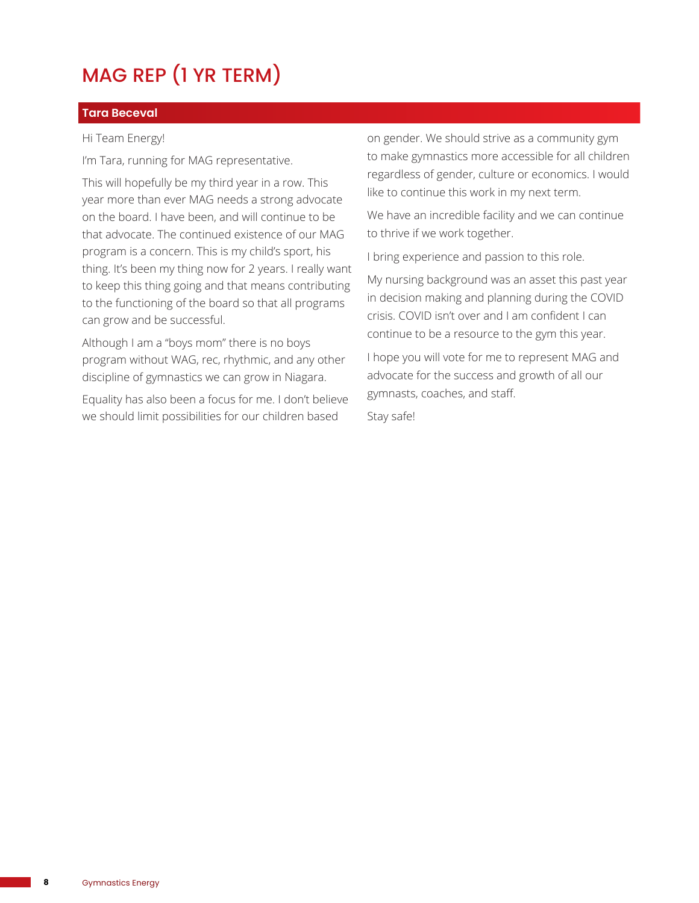# MAG REP (1 YR TERM)

### **Tara Beceval**

#### Hi Team Energy!

I'm Tara, running for MAG representative.

This will hopefully be my third year in a row. This year more than ever MAG needs a strong advocate on the board. I have been, and will continue to be that advocate. The continued existence of our MAG program is a concern. This is my child's sport, his thing. It's been my thing now for 2 years. I really want to keep this thing going and that means contributing to the functioning of the board so that all programs can grow and be successful.

Although I am a "boys mom" there is no boys program without WAG, rec, rhythmic, and any other discipline of gymnastics we can grow in Niagara.

Equality has also been a focus for me. I don't believe we should limit possibilities for our children based

on gender. We should strive as a community gym to make gymnastics more accessible for all children regardless of gender, culture or economics. I would like to continue this work in my next term.

We have an incredible facility and we can continue to thrive if we work together.

I bring experience and passion to this role.

My nursing background was an asset this past year in decision making and planning during the COVID crisis. COVID isn't over and I am confident I can continue to be a resource to the gym this year.

I hope you will vote for me to represent MAG and advocate for the success and growth of all our gymnasts, coaches, and staff.

Stay safe!